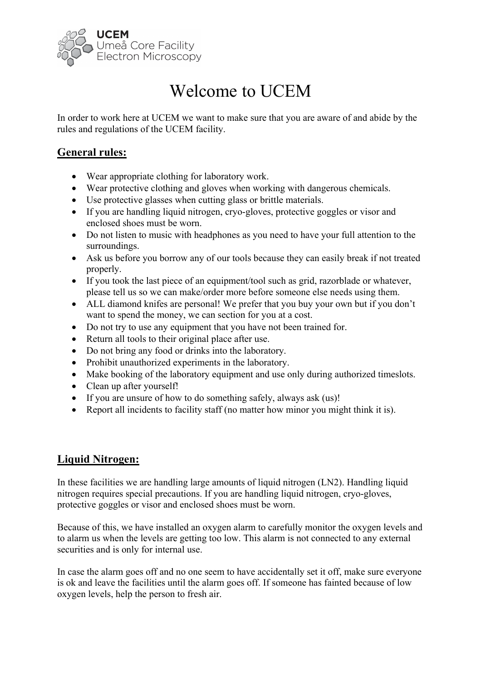

# Welcome to UCEM

In order to work here at UCEM we want to make sure that you are aware of and abide by the rules and regulations of the UCEM facility.

# **General rules:**

- Wear appropriate clothing for laboratory work.
- Wear protective clothing and gloves when working with dangerous chemicals.
- Use protective glasses when cutting glass or brittle materials.
- If you are handling liquid nitrogen, cryo-gloves, protective goggles or visor and enclosed shoes must be worn.
- Do not listen to music with headphones as you need to have your full attention to the surroundings.
- Ask us before you borrow any of our tools because they can easily break if not treated properly.
- If you took the last piece of an equipment/tool such as grid, razorblade or whatever, please tell us so we can make/order more before someone else needs using them.
- ALL diamond knifes are personal! We prefer that you buy your own but if you don't want to spend the money, we can section for you at a cost.
- Do not try to use any equipment that you have not been trained for.
- Return all tools to their original place after use.
- Do not bring any food or drinks into the laboratory.
- Prohibit unauthorized experiments in the laboratory.
- Make booking of the laboratory equipment and use only during authorized timeslots.
- Clean up after yourself!
- If you are unsure of how to do something safely, always ask (us)!
- Report all incidents to facility staff (no matter how minor you might think it is).

# **Liquid Nitrogen:**

In these facilities we are handling large amounts of liquid nitrogen (LN2). Handling liquid nitrogen requires special precautions. If you are handling liquid nitrogen, cryo-gloves, protective goggles or visor and enclosed shoes must be worn.

Because of this, we have installed an oxygen alarm to carefully monitor the oxygen levels and to alarm us when the levels are getting too low. This alarm is not connected to any external securities and is only for internal use.

In case the alarm goes off and no one seem to have accidentally set it off, make sure everyone is ok and leave the facilities until the alarm goes off. If someone has fainted because of low oxygen levels, help the person to fresh air.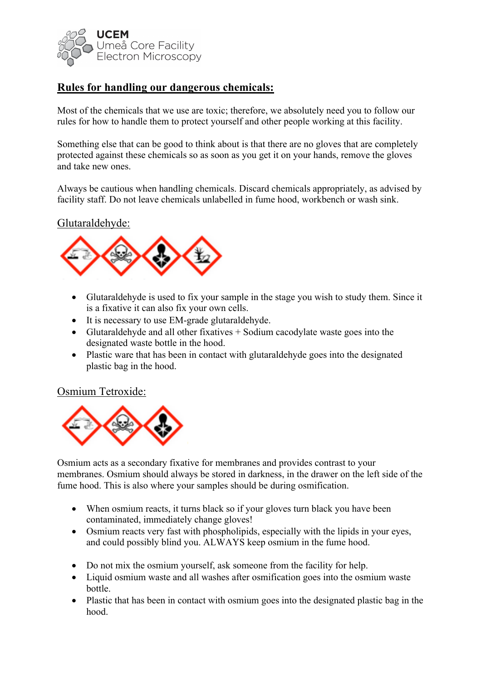

# **Rules for handling our dangerous chemicals:**

Most of the chemicals that we use are toxic; therefore, we absolutely need you to follow our rules for how to handle them to protect yourself and other people working at this facility.

Something else that can be good to think about is that there are no gloves that are completely protected against these chemicals so as soon as you get it on your hands, remove the gloves and take new ones.

Always be cautious when handling chemicals. Discard chemicals appropriately, as advised by facility staff. Do not leave chemicals unlabelled in fume hood, workbench or wash sink.

## Glutaraldehyde:



- Glutaraldehyde is used to fix your sample in the stage you wish to study them. Since it is a fixative it can also fix your own cells.
- It is necessary to use EM-grade glutaraldehyde.
- Glutaraldehyde and all other fixatives + Sodium cacodylate waste goes into the designated waste bottle in the hood.
- Plastic ware that has been in contact with glutaraldehyde goes into the designated plastic bag in the hood.

#### Osmium Tetroxide:



Osmium acts as a secondary fixative for membranes and provides contrast to your membranes. Osmium should always be stored in darkness, in the drawer on the left side of the fume hood. This is also where your samples should be during osmification.

- When osmium reacts, it turns black so if your gloves turn black you have been contaminated, immediately change gloves!
- Osmium reacts very fast with phospholipids, especially with the lipids in your eyes, and could possibly blind you. ALWAYS keep osmium in the fume hood.
- Do not mix the osmium yourself, ask someone from the facility for help.
- Liquid osmium waste and all washes after osmification goes into the osmium waste bottle.
- Plastic that has been in contact with osmium goes into the designated plastic bag in the hood.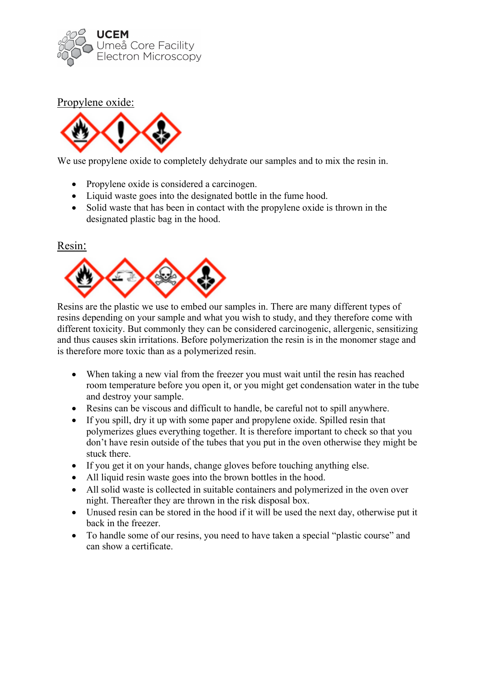

## Propylene oxide:



We use propylene oxide to completely dehydrate our samples and to mix the resin in.

- Propylene oxide is considered a carcinogen.
- Liquid waste goes into the designated bottle in the fume hood.
- Solid waste that has been in contact with the propylene oxide is thrown in the designated plastic bag in the hood.

#### Resin:



Resins are the plastic we use to embed our samples in. There are many different types of resins depending on your sample and what you wish to study, and they therefore come with different toxicity. But commonly they can be considered carcinogenic, allergenic, sensitizing and thus causes skin irritations. Before polymerization the resin is in the monomer stage and is therefore more toxic than as a polymerized resin.

- When taking a new vial from the freezer you must wait until the resin has reached room temperature before you open it, or you might get condensation water in the tube and destroy your sample.
- Resins can be viscous and difficult to handle, be careful not to spill anywhere.
- If you spill, dry it up with some paper and propylene oxide. Spilled resin that polymerizes glues everything together. It is therefore important to check so that you don't have resin outside of the tubes that you put in the oven otherwise they might be stuck there.
- If you get it on your hands, change gloves before touching anything else.
- All liquid resin waste goes into the brown bottles in the hood.
- All solid waste is collected in suitable containers and polymerized in the oven over night. Thereafter they are thrown in the risk disposal box.
- Unused resin can be stored in the hood if it will be used the next day, otherwise put it back in the freezer.
- To handle some of our resins, you need to have taken a special "plastic course" and can show a certificate.